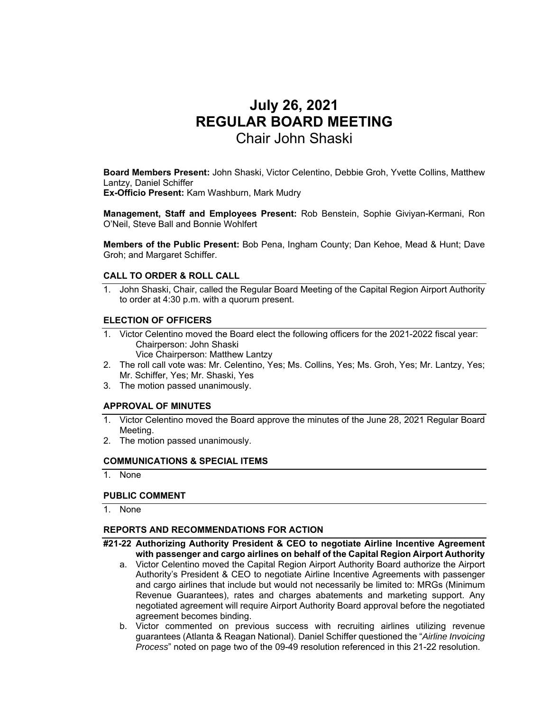# **July 26, 2021 REGULAR BOARD MEETING**  Chair John Shaski

**Board Members Present:** John Shaski, Victor Celentino, Debbie Groh, Yvette Collins, Matthew Lantzy, Daniel Schiffer **Ex-Officio Present:** Kam Washburn, Mark Mudry

**Management, Staff and Employees Present:** Rob Benstein, Sophie Giviyan-Kermani, Ron O'Neil, Steve Ball and Bonnie Wohlfert

**Members of the Public Present:** Bob Pena, Ingham County; Dan Kehoe, Mead & Hunt; Dave Groh; and Margaret Schiffer.

## **CALL TO ORDER & ROLL CALL**

1. John Shaski, Chair, called the Regular Board Meeting of the Capital Region Airport Authority to order at 4:30 p.m. with a quorum present.

## **ELECTION OF OFFICERS**

1. Victor Celentino moved the Board elect the following officers for the 2021-2022 fiscal year: Chairperson: John Shaski

Vice Chairperson: Matthew Lantzy

- 2. The roll call vote was: Mr. Celentino, Yes; Ms. Collins, Yes; Ms. Groh, Yes; Mr. Lantzy, Yes; Mr. Schiffer, Yes; Mr. Shaski, Yes
- 3. The motion passed unanimously.

## **APPROVAL OF MINUTES**

- 1. Victor Celentino moved the Board approve the minutes of the June 28, 2021 Regular Board Meeting.
- 2. The motion passed unanimously.

### **COMMUNICATIONS & SPECIAL ITEMS**

1. None

### **PUBLIC COMMENT**

1. None

## **REPORTS AND RECOMMENDATIONS FOR ACTION**

- **#21-22 Authorizing Authority President & CEO to negotiate Airline Incentive Agreement with passenger and cargo airlines on behalf of the Capital Region Airport Authority** 
	- a. Victor Celentino moved the Capital Region Airport Authority Board authorize the Airport Authority's President & CEO to negotiate Airline Incentive Agreements with passenger and cargo airlines that include but would not necessarily be limited to: MRGs (Minimum Revenue Guarantees), rates and charges abatements and marketing support. Any negotiated agreement will require Airport Authority Board approval before the negotiated agreement becomes binding.
	- b. Victor commented on previous success with recruiting airlines utilizing revenue guarantees (Atlanta & Reagan National). Daniel Schiffer questioned the "*Airline Invoicing Process*" noted on page two of the 09-49 resolution referenced in this 21-22 resolution.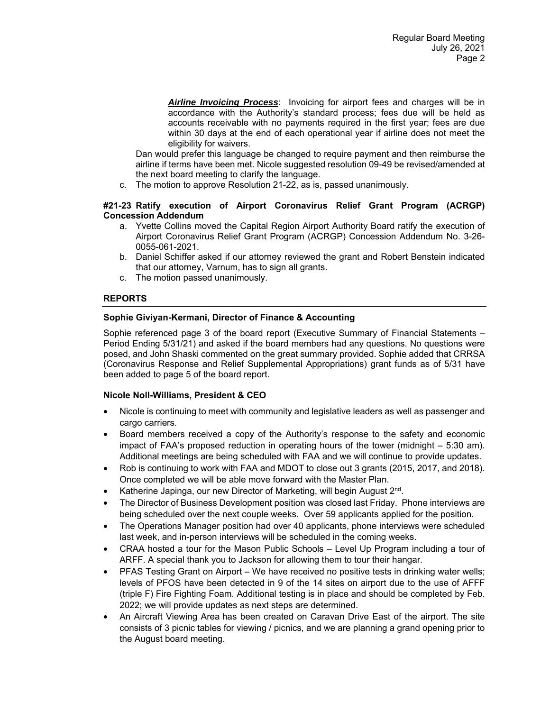*Airline Invoicing Process*: Invoicing for airport fees and charges will be in accordance with the Authority's standard process; fees due will be held as accounts receivable with no payments required in the first year; fees are due within 30 days at the end of each operational year if airline does not meet the eligibility for waivers.

Dan would prefer this language be changed to require payment and then reimburse the airline if terms have been met. Nicole suggested resolution 09-49 be revised/amended at the next board meeting to clarify the language.

c. The motion to approve Resolution 21-22, as is, passed unanimously.

# **#21-23 Ratify execution of Airport Coronavirus Relief Grant Program (ACRGP) Concession Addendum**

- a. Yvette Collins moved the Capital Region Airport Authority Board ratify the execution of Airport Coronavirus Relief Grant Program (ACRGP) Concession Addendum No. 3-26- 0055-061-2021.
- b. Daniel Schiffer asked if our attorney reviewed the grant and Robert Benstein indicated that our attorney, Varnum, has to sign all grants.
- c. The motion passed unanimously.

# **REPORTS**

# **Sophie Giviyan-Kermani, Director of Finance & Accounting**

Sophie referenced page 3 of the board report (Executive Summary of Financial Statements – Period Ending 5/31/21) and asked if the board members had any questions. No questions were posed, and John Shaski commented on the great summary provided. Sophie added that CRRSA (Coronavirus Response and Relief Supplemental Appropriations) grant funds as of 5/31 have been added to page 5 of the board report.

# **Nicole Noll-Williams, President & CEO**

- Nicole is continuing to meet with community and legislative leaders as well as passenger and cargo carriers.
- Board members received a copy of the Authority's response to the safety and economic impact of FAA's proposed reduction in operating hours of the tower (midnight – 5:30 am). Additional meetings are being scheduled with FAA and we will continue to provide updates.
- Rob is continuing to work with FAA and MDOT to close out 3 grants (2015, 2017, and 2018). Once completed we will be able move forward with the Master Plan.
- Katherine Japinga, our new Director of Marketing, will begin August 2<sup>nd</sup>.
- The Director of Business Development position was closed last Friday. Phone interviews are being scheduled over the next couple weeks. Over 59 applicants applied for the position.
- The Operations Manager position had over 40 applicants, phone interviews were scheduled last week, and in-person interviews will be scheduled in the coming weeks.
- CRAA hosted a tour for the Mason Public Schools Level Up Program including a tour of ARFF. A special thank you to Jackson for allowing them to tour their hangar.
- PFAS Testing Grant on Airport We have received no positive tests in drinking water wells; levels of PFOS have been detected in 9 of the 14 sites on airport due to the use of AFFF (triple F) Fire Fighting Foam. Additional testing is in place and should be completed by Feb. 2022; we will provide updates as next steps are determined.
- An Aircraft Viewing Area has been created on Caravan Drive East of the airport. The site consists of 3 picnic tables for viewing / picnics, and we are planning a grand opening prior to the August board meeting.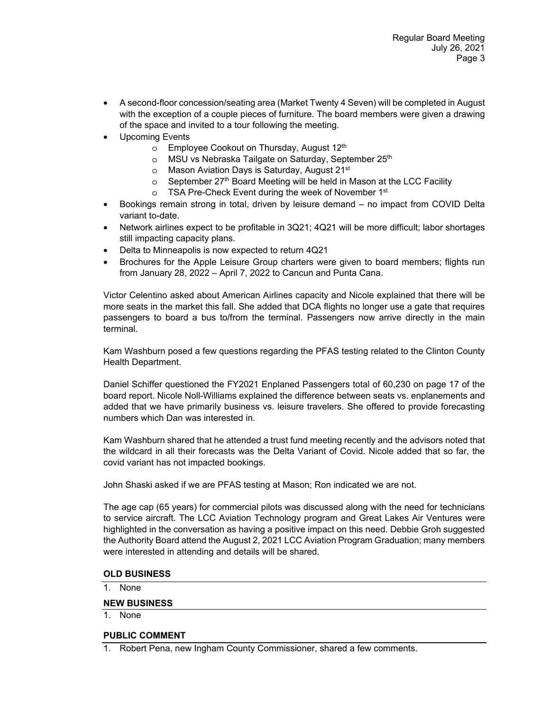- A second-floor concession/seating area (Market Twenty 4 Seven) will be completed in August with the exception of a couple pieces of furniture. The board members were given a drawing of the space and invited to a tour following the meeting.
- Upcoming Events
	- o Employee Cookout on Thursday, August 12<sup>th</sup>
	- o MSU vs Nebraska Tailgate on Saturday, September 25<sup>th</sup>
	- o Mason Aviation Days is Saturday, August 21<sup>st</sup>
	- $\circ$  September 27<sup>th</sup> Board Meeting will be held in Mason at the LCC Facility
	- o TSA Pre-Check Event during the week of November 1st
- Bookings remain strong in total, driven by leisure demand no impact from COVID Delta variant to-date.
- Network airlines expect to be profitable in 3Q21; 4Q21 will be more difficult; labor shortages still impacting capacity plans.
- Delta to Minneapolis is now expected to return 4Q21
- Brochures for the Apple Leisure Group charters were given to board members; flights run from January 28, 2022 – April 7, 2022 to Cancun and Punta Cana.

Victor Celentino asked about American Airlines capacity and Nicole explained that there will be more seats in the market this fall. She added that DCA flights no longer use a gate that requires passengers to board a bus to/from the terminal. Passengers now arrive directly in the main terminal.

Kam Washburn posed a few questions regarding the PFAS testing related to the Clinton County Health Department.

Daniel Schiffer questioned the FY2021 Enplaned Passengers total of 60,230 on page 17 of the board report. Nicole Noll-Williams explained the difference between seats vs. enplanements and added that we have primarily business vs. leisure travelers. She offered to provide forecasting numbers which Dan was interested in.

Kam Washburn shared that he attended a trust fund meeting recently and the advisors noted that the wildcard in all their forecasts was the Delta Variant of Covid. Nicole added that so far, the covid variant has not impacted bookings.

John Shaski asked if we are PFAS testing at Mason; Ron indicated we are not.

The age cap (65 years) for commercial pilots was discussed along with the need for technicians to service aircraft. The LCC Aviation Technology program and Great Lakes Air Ventures were highlighted in the conversation as having a positive impact on this need. Debbie Groh suggested the Authority Board attend the August 2, 2021 LCC Aviation Program Graduation; many members were interested in attending and details will be shared.

## **OLD BUSINESS**

1. None

# **NEW BUSINESS**

1. None

## **PUBLIC COMMENT**

1. Robert Pena, new Ingham County Commissioner, shared a few comments.